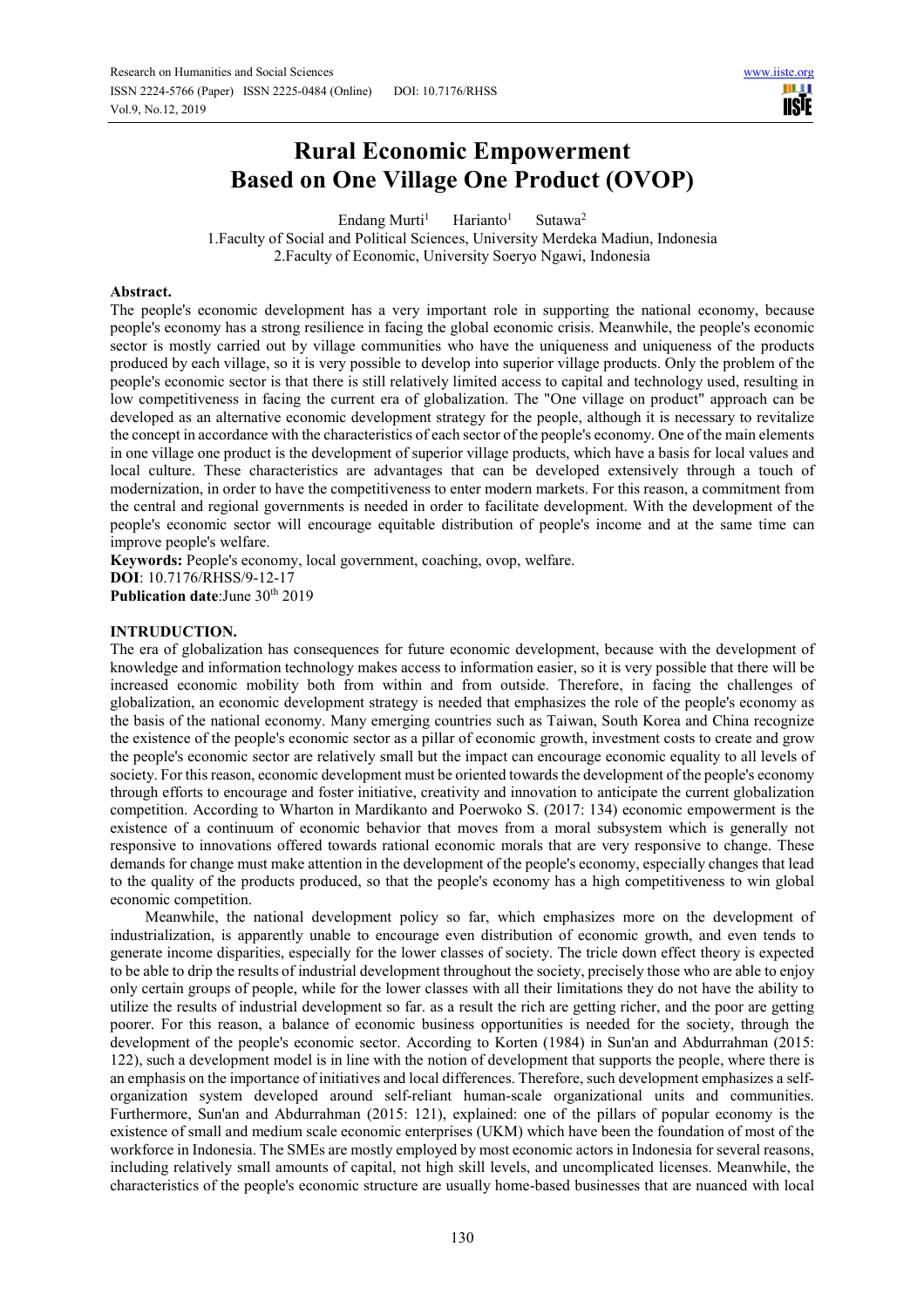# **Rural Economic Empowerment Based on One Village One Product (OVOP)**

Endang Murti<sup>1</sup> Harianto<sup>1</sup> Sutawa<sup>2</sup> 1.Faculty of Social and Political Sciences, University Merdeka Madiun, Indonesia 2.Faculty of Economic, University Soeryo Ngawi, Indonesia

# **Abstract.**

The people's economic development has a very important role in supporting the national economy, because people's economy has a strong resilience in facing the global economic crisis. Meanwhile, the people's economic sector is mostly carried out by village communities who have the uniqueness and uniqueness of the products produced by each village, so it is very possible to develop into superior village products. Only the problem of the people's economic sector is that there is still relatively limited access to capital and technology used, resulting in low competitiveness in facing the current era of globalization. The "One village on product" approach can be developed as an alternative economic development strategy for the people, although it is necessary to revitalize the concept in accordance with the characteristics of each sector of the people's economy. One of the main elements in one village one product is the development of superior village products, which have a basis for local values and local culture. These characteristics are advantages that can be developed extensively through a touch of modernization, in order to have the competitiveness to enter modern markets. For this reason, a commitment from the central and regional governments is needed in order to facilitate development. With the development of the people's economic sector will encourage equitable distribution of people's income and at the same time can improve people's welfare.

**Keywords:** People's economy, local government, coaching, ovop, welfare. **DOI**: 10.7176/RHSS/9-12-17 **Publication date:**June 30<sup>th</sup> 2019

# **INTRUDUCTION.**

The era of globalization has consequences for future economic development, because with the development of knowledge and information technology makes access to information easier, so it is very possible that there will be increased economic mobility both from within and from outside. Therefore, in facing the challenges of globalization, an economic development strategy is needed that emphasizes the role of the people's economy as the basis of the national economy. Many emerging countries such as Taiwan, South Korea and China recognize the existence of the people's economic sector as a pillar of economic growth, investment costs to create and grow the people's economic sector are relatively small but the impact can encourage economic equality to all levels of society. For this reason, economic development must be oriented towards the development of the people's economy through efforts to encourage and foster initiative, creativity and innovation to anticipate the current globalization competition. According to Wharton in Mardikanto and Poerwoko S. (2017: 134) economic empowerment is the existence of a continuum of economic behavior that moves from a moral subsystem which is generally not responsive to innovations offered towards rational economic morals that are very responsive to change. These demands for change must make attention in the development of the people's economy, especially changes that lead to the quality of the products produced, so that the people's economy has a high competitiveness to win global economic competition.

 Meanwhile, the national development policy so far, which emphasizes more on the development of industrialization, is apparently unable to encourage even distribution of economic growth, and even tends to generate income disparities, especially for the lower classes of society. The tricle down effect theory is expected to be able to drip the results of industrial development throughout the society, precisely those who are able to enjoy only certain groups of people, while for the lower classes with all their limitations they do not have the ability to utilize the results of industrial development so far. as a result the rich are getting richer, and the poor are getting poorer. For this reason, a balance of economic business opportunities is needed for the society, through the development of the people's economic sector. According to Korten (1984) in Sun'an and Abdurrahman (2015: 122), such a development model is in line with the notion of development that supports the people, where there is an emphasis on the importance of initiatives and local differences. Therefore, such development emphasizes a selforganization system developed around self-reliant human-scale organizational units and communities. Furthermore, Sun'an and Abdurrahman (2015: 121), explained: one of the pillars of popular economy is the existence of small and medium scale economic enterprises (UKM) which have been the foundation of most of the workforce in Indonesia. The SMEs are mostly employed by most economic actors in Indonesia for several reasons, including relatively small amounts of capital, not high skill levels, and uncomplicated licenses. Meanwhile, the characteristics of the people's economic structure are usually home-based businesses that are nuanced with local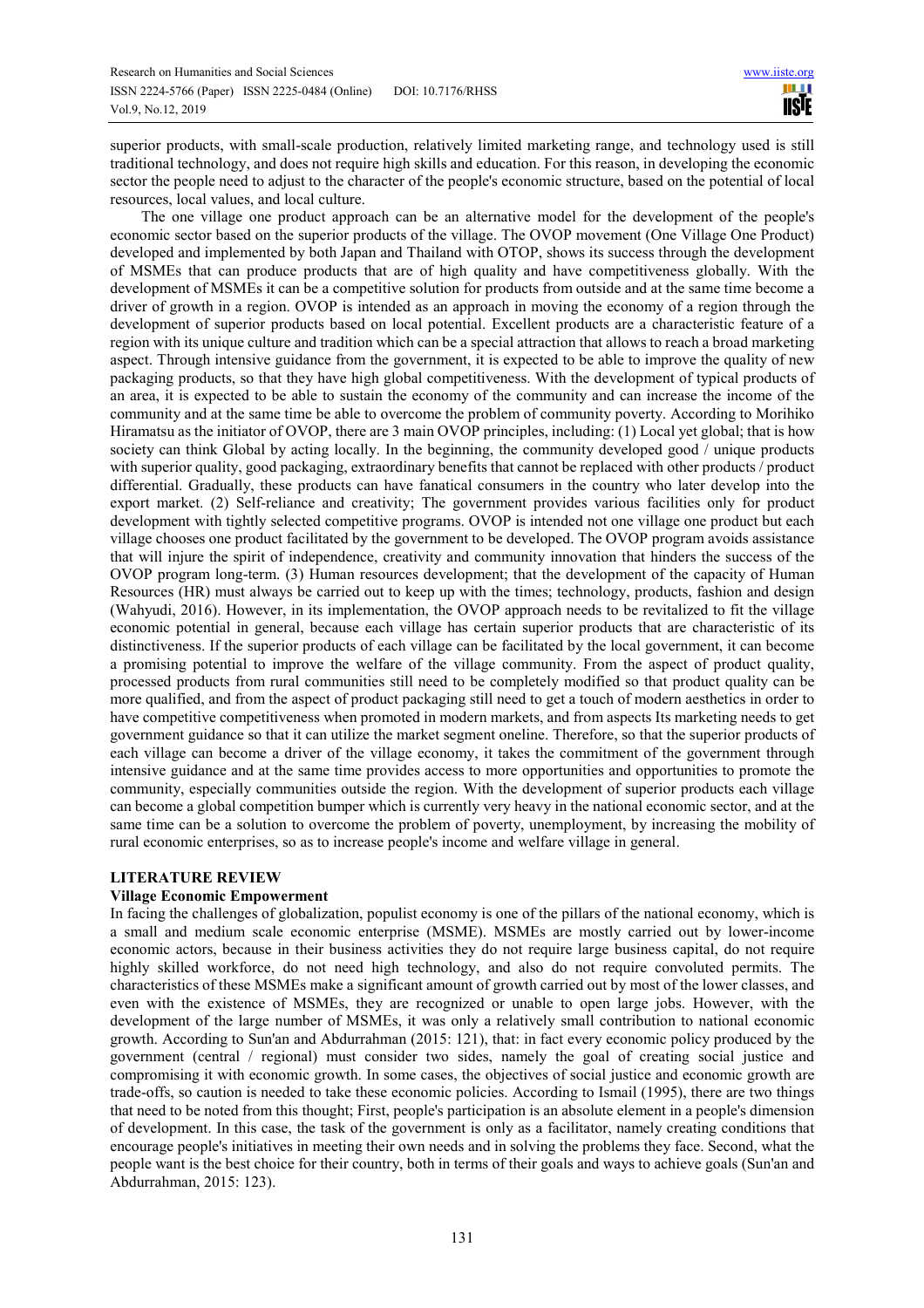superior products, with small-scale production, relatively limited marketing range, and technology used is still traditional technology, and does not require high skills and education. For this reason, in developing the economic sector the people need to adjust to the character of the people's economic structure, based on the potential of local resources, local values, and local culture.

 The one village one product approach can be an alternative model for the development of the people's economic sector based on the superior products of the village. The OVOP movement (One Village One Product) developed and implemented by both Japan and Thailand with OTOP, shows its success through the development of MSMEs that can produce products that are of high quality and have competitiveness globally. With the development of MSMEs it can be a competitive solution for products from outside and at the same time become a driver of growth in a region. OVOP is intended as an approach in moving the economy of a region through the development of superior products based on local potential. Excellent products are a characteristic feature of a region with its unique culture and tradition which can be a special attraction that allows to reach a broad marketing aspect. Through intensive guidance from the government, it is expected to be able to improve the quality of new packaging products, so that they have high global competitiveness. With the development of typical products of an area, it is expected to be able to sustain the economy of the community and can increase the income of the community and at the same time be able to overcome the problem of community poverty. According to Morihiko Hiramatsu as the initiator of OVOP, there are 3 main OVOP principles, including: (1) Local yet global; that is how society can think Global by acting locally. In the beginning, the community developed good / unique products with superior quality, good packaging, extraordinary benefits that cannot be replaced with other products / product differential. Gradually, these products can have fanatical consumers in the country who later develop into the export market. (2) Self-reliance and creativity; The government provides various facilities only for product development with tightly selected competitive programs. OVOP is intended not one village one product but each village chooses one product facilitated by the government to be developed. The OVOP program avoids assistance that will injure the spirit of independence, creativity and community innovation that hinders the success of the OVOP program long-term. (3) Human resources development; that the development of the capacity of Human Resources (HR) must always be carried out to keep up with the times; technology, products, fashion and design (Wahyudi, 2016). However, in its implementation, the OVOP approach needs to be revitalized to fit the village economic potential in general, because each village has certain superior products that are characteristic of its distinctiveness. If the superior products of each village can be facilitated by the local government, it can become a promising potential to improve the welfare of the village community. From the aspect of product quality, processed products from rural communities still need to be completely modified so that product quality can be more qualified, and from the aspect of product packaging still need to get a touch of modern aesthetics in order to have competitive competitiveness when promoted in modern markets, and from aspects Its marketing needs to get government guidance so that it can utilize the market segment oneline. Therefore, so that the superior products of each village can become a driver of the village economy, it takes the commitment of the government through intensive guidance and at the same time provides access to more opportunities and opportunities to promote the community, especially communities outside the region. With the development of superior products each village can become a global competition bumper which is currently very heavy in the national economic sector, and at the same time can be a solution to overcome the problem of poverty, unemployment, by increasing the mobility of rural economic enterprises, so as to increase people's income and welfare village in general.

# **LITERATURE REVIEW**

# **Village Economic Empowerment**

In facing the challenges of globalization, populist economy is one of the pillars of the national economy, which is a small and medium scale economic enterprise (MSME). MSMEs are mostly carried out by lower-income economic actors, because in their business activities they do not require large business capital, do not require highly skilled workforce, do not need high technology, and also do not require convoluted permits. The characteristics of these MSMEs make a significant amount of growth carried out by most of the lower classes, and even with the existence of MSMEs, they are recognized or unable to open large jobs. However, with the development of the large number of MSMEs, it was only a relatively small contribution to national economic growth. According to Sun'an and Abdurrahman (2015: 121), that: in fact every economic policy produced by the government (central / regional) must consider two sides, namely the goal of creating social justice and compromising it with economic growth. In some cases, the objectives of social justice and economic growth are trade-offs, so caution is needed to take these economic policies. According to Ismail (1995), there are two things that need to be noted from this thought; First, people's participation is an absolute element in a people's dimension of development. In this case, the task of the government is only as a facilitator, namely creating conditions that encourage people's initiatives in meeting their own needs and in solving the problems they face. Second, what the people want is the best choice for their country, both in terms of their goals and ways to achieve goals (Sun'an and Abdurrahman, 2015: 123).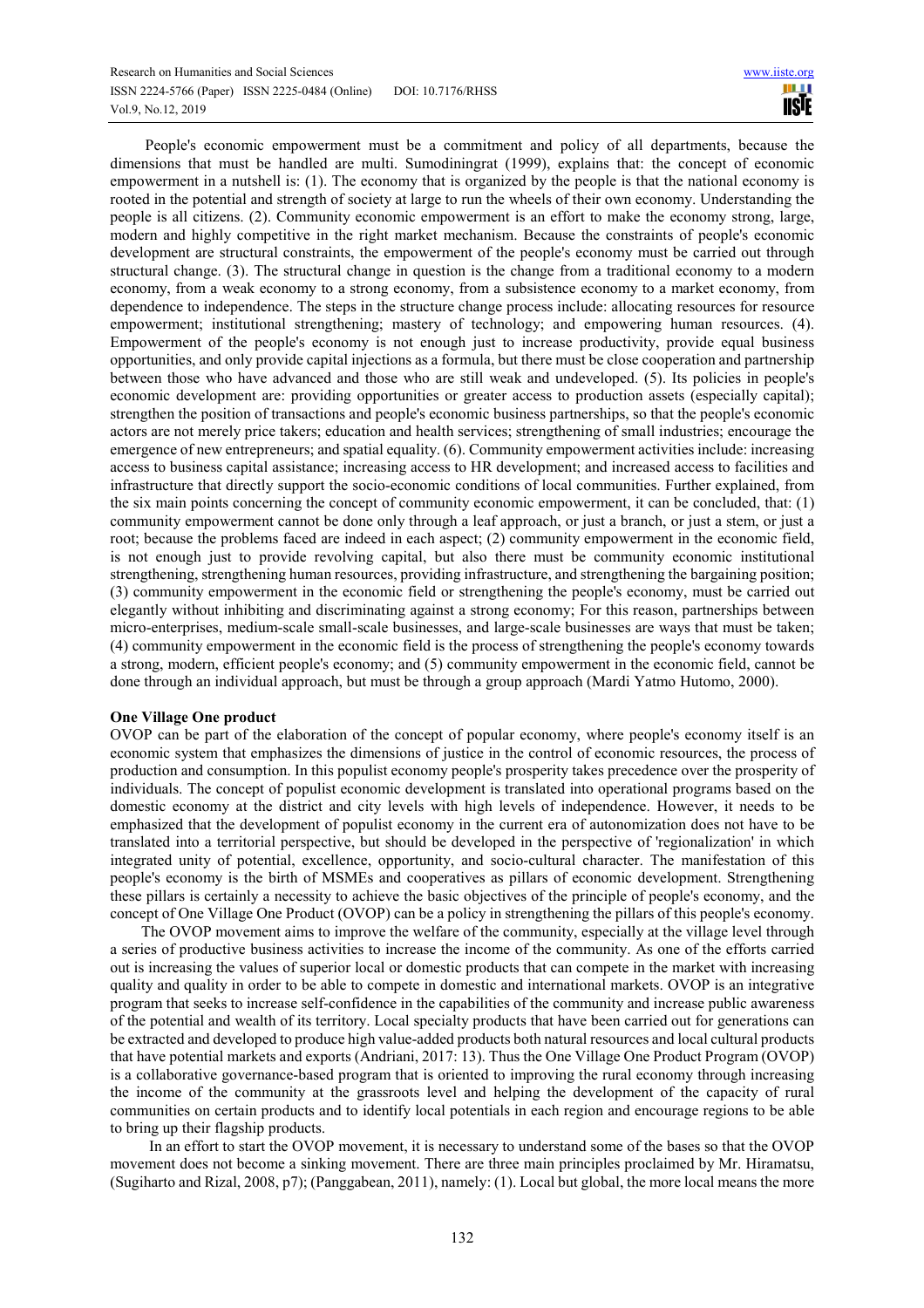People's economic empowerment must be a commitment and policy of all departments, because the dimensions that must be handled are multi. Sumodiningrat (1999), explains that: the concept of economic empowerment in a nutshell is: (1). The economy that is organized by the people is that the national economy is rooted in the potential and strength of society at large to run the wheels of their own economy. Understanding the people is all citizens. (2). Community economic empowerment is an effort to make the economy strong, large, modern and highly competitive in the right market mechanism. Because the constraints of people's economic development are structural constraints, the empowerment of the people's economy must be carried out through structural change. (3). The structural change in question is the change from a traditional economy to a modern economy, from a weak economy to a strong economy, from a subsistence economy to a market economy, from dependence to independence. The steps in the structure change process include: allocating resources for resource empowerment; institutional strengthening; mastery of technology; and empowering human resources. (4). Empowerment of the people's economy is not enough just to increase productivity, provide equal business opportunities, and only provide capital injections as a formula, but there must be close cooperation and partnership between those who have advanced and those who are still weak and undeveloped. (5). Its policies in people's economic development are: providing opportunities or greater access to production assets (especially capital); strengthen the position of transactions and people's economic business partnerships, so that the people's economic actors are not merely price takers; education and health services; strengthening of small industries; encourage the emergence of new entrepreneurs; and spatial equality. (6). Community empowerment activities include: increasing access to business capital assistance; increasing access to HR development; and increased access to facilities and infrastructure that directly support the socio-economic conditions of local communities. Further explained, from the six main points concerning the concept of community economic empowerment, it can be concluded, that: (1) community empowerment cannot be done only through a leaf approach, or just a branch, or just a stem, or just a root; because the problems faced are indeed in each aspect; (2) community empowerment in the economic field, is not enough just to provide revolving capital, but also there must be community economic institutional strengthening, strengthening human resources, providing infrastructure, and strengthening the bargaining position; (3) community empowerment in the economic field or strengthening the people's economy, must be carried out elegantly without inhibiting and discriminating against a strong economy; For this reason, partnerships between micro-enterprises, medium-scale small-scale businesses, and large-scale businesses are ways that must be taken; (4) community empowerment in the economic field is the process of strengthening the people's economy towards a strong, modern, efficient people's economy; and (5) community empowerment in the economic field, cannot be done through an individual approach, but must be through a group approach (Mardi Yatmo Hutomo, 2000).

#### **One Village One product**

OVOP can be part of the elaboration of the concept of popular economy, where people's economy itself is an economic system that emphasizes the dimensions of justice in the control of economic resources, the process of production and consumption. In this populist economy people's prosperity takes precedence over the prosperity of individuals. The concept of populist economic development is translated into operational programs based on the domestic economy at the district and city levels with high levels of independence. However, it needs to be emphasized that the development of populist economy in the current era of autonomization does not have to be translated into a territorial perspective, but should be developed in the perspective of 'regionalization' in which integrated unity of potential, excellence, opportunity, and socio-cultural character. The manifestation of this people's economy is the birth of MSMEs and cooperatives as pillars of economic development. Strengthening these pillars is certainly a necessity to achieve the basic objectives of the principle of people's economy, and the concept of One Village One Product (OVOP) can be a policy in strengthening the pillars of this people's economy.

 The OVOP movement aims to improve the welfare of the community, especially at the village level through a series of productive business activities to increase the income of the community. As one of the efforts carried out is increasing the values of superior local or domestic products that can compete in the market with increasing quality and quality in order to be able to compete in domestic and international markets. OVOP is an integrative program that seeks to increase self-confidence in the capabilities of the community and increase public awareness of the potential and wealth of its territory. Local specialty products that have been carried out for generations can be extracted and developed to produce high value-added products both natural resources and local cultural products that have potential markets and exports (Andriani, 2017: 13). Thus the One Village One Product Program (OVOP) is a collaborative governance-based program that is oriented to improving the rural economy through increasing the income of the community at the grassroots level and helping the development of the capacity of rural communities on certain products and to identify local potentials in each region and encourage regions to be able to bring up their flagship products.

 In an effort to start the OVOP movement, it is necessary to understand some of the bases so that the OVOP movement does not become a sinking movement. There are three main principles proclaimed by Mr. Hiramatsu, (Sugiharto and Rizal, 2008, p7); (Panggabean, 2011), namely: (1). Local but global, the more local means the more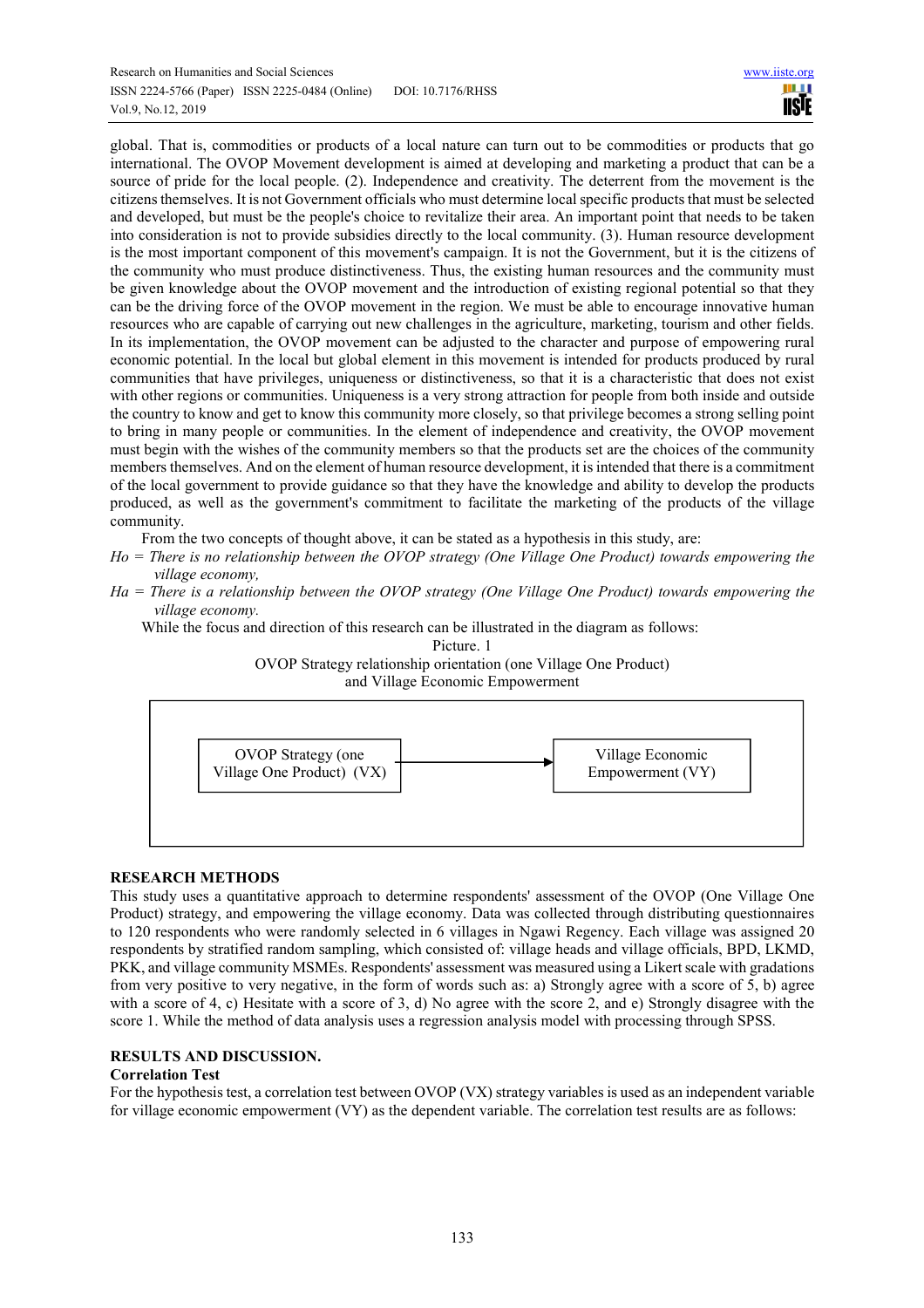global. That is, commodities or products of a local nature can turn out to be commodities or products that go international. The OVOP Movement development is aimed at developing and marketing a product that can be a source of pride for the local people. (2). Independence and creativity. The deterrent from the movement is the citizens themselves. It is not Government officials who must determine local specific products that must be selected and developed, but must be the people's choice to revitalize their area. An important point that needs to be taken into consideration is not to provide subsidies directly to the local community. (3). Human resource development is the most important component of this movement's campaign. It is not the Government, but it is the citizens of the community who must produce distinctiveness. Thus, the existing human resources and the community must be given knowledge about the OVOP movement and the introduction of existing regional potential so that they can be the driving force of the OVOP movement in the region. We must be able to encourage innovative human resources who are capable of carrying out new challenges in the agriculture, marketing, tourism and other fields. In its implementation, the OVOP movement can be adjusted to the character and purpose of empowering rural economic potential. In the local but global element in this movement is intended for products produced by rural communities that have privileges, uniqueness or distinctiveness, so that it is a characteristic that does not exist with other regions or communities. Uniqueness is a very strong attraction for people from both inside and outside the country to know and get to know this community more closely, so that privilege becomes a strong selling point to bring in many people or communities. In the element of independence and creativity, the OVOP movement must begin with the wishes of the community members so that the products set are the choices of the community members themselves. And on the element of human resource development, it is intended that there is a commitment of the local government to provide guidance so that they have the knowledge and ability to develop the products produced, as well as the government's commitment to facilitate the marketing of the products of the village community.

From the two concepts of thought above, it can be stated as a hypothesis in this study, are:

- *Ho = There is no relationship between the OVOP strategy (One Village One Product) towards empowering the village economy,*
- *Ha = There is a relationship between the OVOP strategy (One Village One Product) towards empowering the village economy.*

While the focus and direction of this research can be illustrated in the diagram as follows:

Picture. 1

OVOP Strategy relationship orientation (one Village One Product) and Village Economic Empowerment



# **RESEARCH METHODS**

This study uses a quantitative approach to determine respondents' assessment of the OVOP (One Village One Product) strategy, and empowering the village economy. Data was collected through distributing questionnaires to 120 respondents who were randomly selected in 6 villages in Ngawi Regency. Each village was assigned 20 respondents by stratified random sampling, which consisted of: village heads and village officials, BPD, LKMD, PKK, and village community MSMEs. Respondents' assessment was measured using a Likert scale with gradations from very positive to very negative, in the form of words such as: a) Strongly agree with a score of 5, b) agree with a score of 4, c) Hesitate with a score of 3, d) No agree with the score 2, and e) Strongly disagree with the score 1. While the method of data analysis uses a regression analysis model with processing through SPSS.

# **RESULTS AND DISCUSSION.**

# **Correlation Test**

For the hypothesis test, a correlation test between OVOP (VX) strategy variables is used as an independent variable for village economic empowerment (VY) as the dependent variable. The correlation test results are as follows: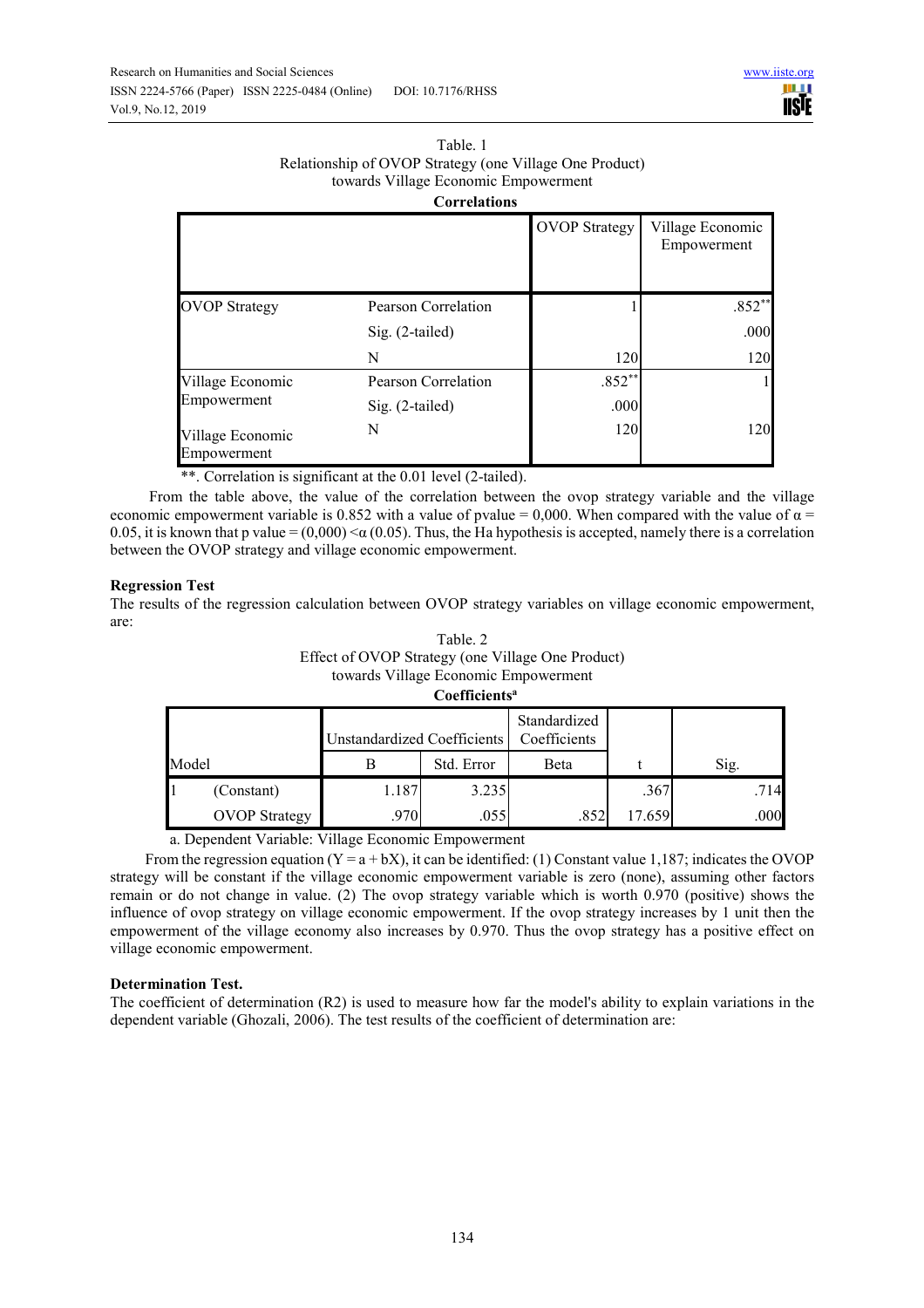#### Table. 1 Relationship of OVOP Strategy (one Village One Product) towards Village Economic Empowerment **Correlations**

|                                 | wu ndunun           |                      |                                 |
|---------------------------------|---------------------|----------------------|---------------------------------|
|                                 |                     | <b>OVOP</b> Strategy | Village Economic<br>Empowerment |
| <b>OVOP Strategy</b>            | Pearson Correlation |                      | $.852**$                        |
|                                 | $Sig. (2-tailed)$   |                      | .000                            |
|                                 | N                   | 120                  | 120                             |
| Village Economic                | Pearson Correlation | $.852**$             |                                 |
| Empowerment                     | $Sig. (2-tailed)$   | .000                 |                                 |
| Village Economic<br>Empowerment | N                   | 120                  | 120                             |

\*\*. Correlation is significant at the 0.01 level (2-tailed).

 From the table above, the value of the correlation between the ovop strategy variable and the village economic empowerment variable is 0.852 with a value of pvalue = 0,000. When compared with the value of  $\alpha$  = 0.05, it is known that p value =  $(0,000)$  <  $\alpha$  (0.05). Thus, the Ha hypothesis is accepted, namely there is a correlation between the OVOP strategy and village economic empowerment.

# **Regression Test**

The results of the regression calculation between OVOP strategy variables on village economic empowerment, are:

| Table, 2                                          |
|---------------------------------------------------|
| Effect of OVOP Strategy (one Village One Product) |
| towards Village Economic Empowerment              |
| $C_{\alpha\alpha}$ ffiaiantal                     |

| Coemercius |                      |                             |            |                              |        |      |  |  |  |
|------------|----------------------|-----------------------------|------------|------------------------------|--------|------|--|--|--|
|            |                      | Unstandardized Coefficients |            | Standardized<br>Coefficients |        |      |  |  |  |
| Model      |                      | В                           | Std. Error | Beta                         |        | Sig. |  |  |  |
|            | (Constant)           | 1.187                       | 3.235      |                              | .367   | .714 |  |  |  |
|            | <b>OVOP</b> Strategy | .970                        | .055       | .852                         | 17.659 | .000 |  |  |  |

a. Dependent Variable: Village Economic Empowerment

From the regression equation ( $Y = a + bX$ ), it can be identified: (1) Constant value 1.187; indicates the OVOP strategy will be constant if the village economic empowerment variable is zero (none), assuming other factors remain or do not change in value. (2) The ovop strategy variable which is worth 0.970 (positive) shows the influence of ovop strategy on village economic empowerment. If the ovop strategy increases by 1 unit then the empowerment of the village economy also increases by 0.970. Thus the ovop strategy has a positive effect on village economic empowerment.

# **Determination Test.**

The coefficient of determination (R2) is used to measure how far the model's ability to explain variations in the dependent variable (Ghozali, 2006). The test results of the coefficient of determination are: